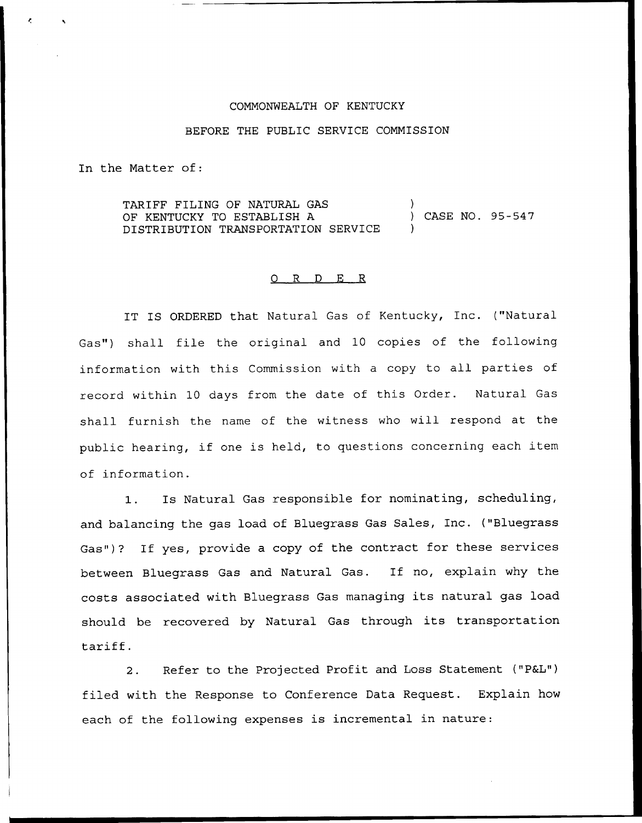## COMMONWEALTH OF KENTUCKY

## BEFORE THE PUBLIC SERVICE COMMISSION

In the Matter of:

TARIFF FILING OF NATURAL GAS OF KENTUCKY TO ESTABLISH A DISTRIBUTION TRANSPORTATION SERVICE ) ) CASE NO. 95-547 )

## 0 R <sup>D</sup> E R

IT IS ORDERED that Natural Gas of Kentucky, Inc. ("Natural Gas") shall file the original and 10 copies of the following information with this Commission with <sup>a</sup> copy to all parties of record within 10 days from the date of this Order. Natural Gas shall furnish the name of the witness who will respond at the public hearing, if one is held, to questions concerning each item of information.

1. Is Natural Gas responsible for nominating, scheduling, and balancing the gas load of Bluegrass Gas Sales, Inc. ("Bluegrass Gas")? If yes, provide <sup>a</sup> copy of the contract for these services between Bluegrass Gas and Natural Gas. If no, explain why the costs associated with Bluegrass Gas managing its natural gas load should be recovered by Natural Gas through its transportation tariff.

2. Refer to the Projected Profit and Loss Statement ("P&L") filed with the Response to Conference Data Request. Explain how each of the following expenses is incremental in nature: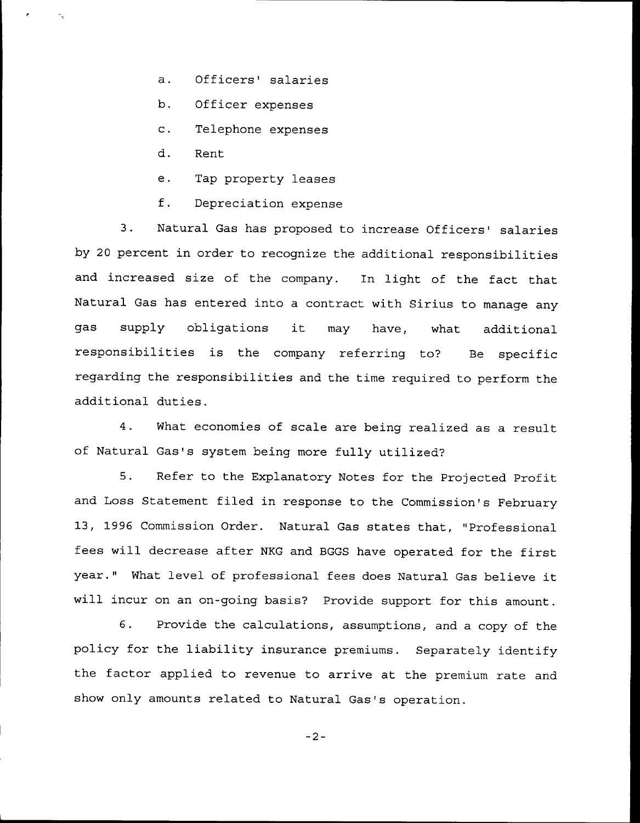- a. Officers' salaries
- b. Officer expenses
- c. Telephone expenses
- d. Rent
- e. Tap property leases
- f. Depreciation expense

3. Natural Gas has proposed to increase Officers' salaries by 20 percent in order to recognize the additional responsibilities and increased size of the company. In light of the fact that Natural Gas has entered into a contract with Sirius to manage any gas supply obligations it may have, what additional responsibilities is the company referring to? Be specific regarding the responsibilities and the time required to perform the additional duties.

4. What economies of scale are being realized as a result of Natural Gas's system being more fully utilized?

5. Refer to the Explanatory Notes for the Projected Profit and Loss Statement filed in response to the Commission's February 13, 1996 Commission Order. Natural Gas states that, "Professional fees will decrease after NKG and BGGS have operated for the first year." What level of professional fees does Natural Gas believe it will incur on an on-going basis? Provide support for this amount.

6. Provide the calculations, assumptions, and <sup>a</sup> copy of the policy for the liability insurance premiums. Separately identify the factor applied to revenue to arrive at the premium rate and show only amounts related to Natural Gas's operation.

 $-2-$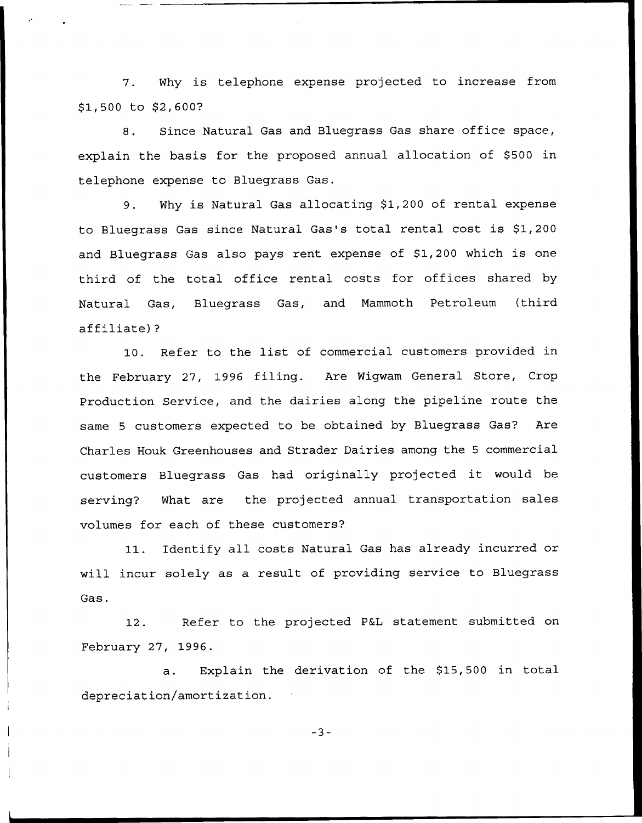7. Why is telephone expense projected to increase from \$1,500 to \$2,600?

8. Since Natural Gas and Bluegrass Gas share office space, explain the basis for the proposed annual allocation of \$500 in telephone expense to Bluegrass Gas.

9. Why is Natural Gas allocating \$1,200 of rental expense to Bluegrass Gas since Natural Gas's total rental cost is \$1,200 and Bluegrass Gas also pays rent expense of \$1,200 which is one third of the total office rental costs for offices shared by Natural Gas, Bluegrass Gas, and Mammoth Petroleum (third affiliate)?

10. Refer to the list of commercial customers provided in the February 27, 1996 filing. Are Wigwam General Store, Crop Production Service, and the dairies along the pipeline route the same 5 customers expected to be obtained by Bluegrass Gas? Are Charles Houk Greenhouses and Strader Dairies among the <sup>5</sup> commercial customers Bluegrass Gas had originally projected it would be serving? What are the projected annual transportation sales volumes for each of these customers?

11. Identify all costs Natural Gas has already incurred or will incur solely as a result of providing service to Bluegrass Gas.

12. Refer to the projected P&L statement submitted on February 27, 1996.

a. Explain the derivation of the \$15,500 in total depreciation/amortization.

 $-3-$